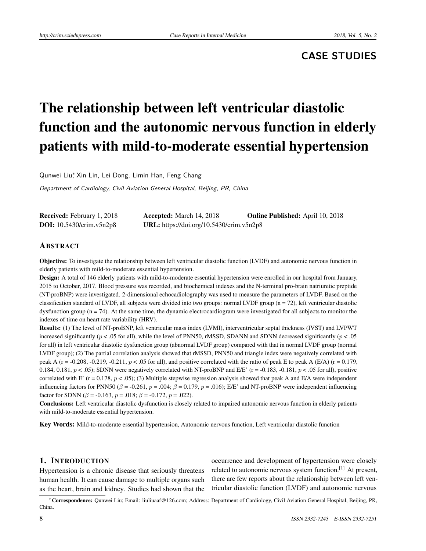## **CASE STUDIES**

# The relationship between left ventricular diastolic function and the autonomic nervous function in elderly patients with mild-to-moderate essential hypertension

Qunwei Liu<sup>∗</sup> , Xin Lin, Lei Dong, Limin Han, Feng Chang

Department of Cardiology, Civil Aviation General Hospital, Beijing, PR, China

| <b>Received:</b> February 1, 2018 | <b>Accepted:</b> March 14, 2018          | <b>Online Published:</b> April 10, 2018 |
|-----------------------------------|------------------------------------------|-----------------------------------------|
| <b>DOI:</b> $10.5430/crim.v5n2p8$ | URL: https://doi.org/10.5430/crim.v5n2p8 |                                         |

## ABSTRACT

Objective: To investigate the relationship between left ventricular diastolic function (LVDF) and autonomic nervous function in elderly patients with mild-to-moderate essential hypertension.

Design: A total of 146 elderly patients with mild-to-moderate essential hypertension were enrolled in our hospital from January, 2015 to October, 2017. Blood pressure was recorded, and biochemical indexes and the N-terminal pro-brain natriuretic preptide (NT-proBNP) were investigated. 2-dimensional echocadiolography was used to measure the parameters of LVDF. Based on the classification standard of LVDF, all subjects were divided into two groups: normal LVDF group (n = 72), left ventricular diastolic dysfunction group ( $n = 74$ ). At the same time, the dynamic electrocardiogram were investigated for all subjects to monitor the indexes of time on heart rate variability (HRV).

Results: (1) The level of NT-proBNP, left ventricular mass index (LVMI), interventricular septal thickness (IVST) and LVPWT increased significantly (*p* < .05 for all), while the level of PNN50, rMSSD, SDANN and SDNN decreased significantly (*p* < .05 for all) in left ventricular diastolic dysfunction group (abnormal LVDF group) compared with that in normal LVDF group (normal LVDF group); (2) The partial correlation analysis showed that rMSSD, PNN50 and triangle index were negatively correlated with peak A ( $r = -0.208$ ,  $-0.219$ ,  $-0.211$ ,  $p < 0.05$  for all), and positive correlated with the ratio of peak E to peak A ( $E/A$ ) ( $r = 0.179$ , 0.184, 0.181,  $p < .05$ ); SDNN were negatively correlated with NT-proBNP and E/E' (r = -0.183, -0.181,  $p < .05$  for all), positive correlated with E' (r = 0.178,  $p < .05$ ); (3) Multiple stepwise regression analysis showed that peak A and E/A were independent influencing factors for PNN50 ( $\beta$  = -0.261,  $p$  = .004;  $\beta$  = 0.179,  $p$  = .016); E/E' and NT-proBNP were independent influencing factor for SDNN ( $\beta$  = -0.163,  $p = .018$ ;  $\beta$  = -0.172,  $p = .022$ ).

Conclusions: Left ventricular diastolic dysfunction is closely related to impaired autonomic nervous function in elderly patients with mild-to-moderate essential hypertension.

Key Words: Mild-to-moderate essential hypertension, Autonomic nervous function, Left ventricular diastolic function

## 1. INTRODUCTION

Hypertension is a chronic disease that seriously threatens human health. It can cause damage to multiple organs such as the heart, brain and kidney. Studies had shown that the occurrence and development of hypertension were closely related to autonomic nervous system function.<sup>[\[1\]](#page-4-0)</sup> At present, there are few reports about the relationship between left ventricular diastolic function (LVDF) and autonomic nervous

<sup>∗</sup>Correspondence: Qunwei Liu; Email: liuliuaaf@126.com; Address: Department of Cardiology, Civil Aviation General Hospital, Beijing, PR, China.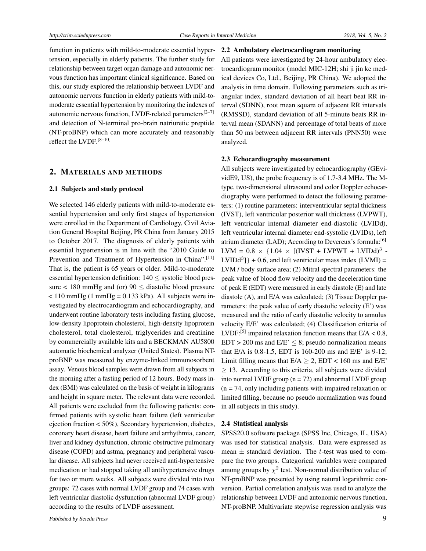function in patients with mild-to-moderate essential hypertension, especially in elderly patients. The further study for relationship between target organ damage and autonomic nervous function has important clinical significance. Based on this, our study explored the relationship between LVDF and autonomic nervous function in elderly patients with mild-tomoderate essential hypertension by monitoring the indexes of autonomic nervous function, LVDF-related parameters $[2-7]$  $[2-7]$ and detection of N-terminal pro-brain natriuretic preptide (NT-proBNP) which can more accurately and reasonably reflect the LVDF.[\[8–](#page-5-1)[10\]](#page-5-2)

## 2. MATERIALS AND METHODS

#### 2.1 Subjects and study protocol

We selected 146 elderly patients with mild-to-moderate essential hypertension and only first stages of hypertension were enrolled in the Department of Cardiology, Civil Aviation General Hospital Beijing, PR China from January 2015 to October 2017. The diagnosis of elderly patients with essential hypertension is in line with the "2010 Guide to Prevention and Treatment of Hypertension in China".<sup>[\[11\]](#page-5-3)</sup> That is, the patient is 65 years or older. Mild-to-moderate essential hypertension definition: 140 ≤ systolic blood pressure  $< 180$  mmHg and (or)  $90 \leq$  diastolic blood pressure  $< 110$  mmHg (1 mmHg = 0.133 kPa). All subjects were investigated by electrocardiogram and echocardiography, and underwent routine laboratory tests including fasting glucose, low-density lipoprotein cholesterol, high-density lipoprotein cholesterol, total cholesterol, triglycerides and creatinine by commercially available kits and a BECKMAN AU5800 automatic biochemical analyzer (United States). Plasma NTproBNP was measured by enzyme-linked immunosorbent assay. Venous blood samples were drawn from all subjects in the morning after a fasting period of 12 hours. Body mass index (BMI) was calculated on the basis of weight in kilograms and height in square meter. The relevant data were recorded. All patients were excluded from the following patients: confirmed patients with systolic heart failure (left ventricular ejection fraction < 50%), Secondary hypertension, diabetes, coronary heart disease, heart failure and arrhythmia, cancer, liver and kidney dysfunction, chronic obstructive pulmonary disease (COPD) and astma, pregnancy and peripheral vascular disease. All subjects had never received anti-hypertensive medication or had stopped taking all antihypertensive drugs for two or more weeks. All subjects were divided into two groups: 72 cases with normal LVDF group and 74 cases with left ventricular diastolic dysfunction (abnormal LVDF group) according to the results of LVDF assessment.

## 2.2 Ambulatory electrocardiogram monitoring

All patients were investigated by 24-hour ambulatory electrocardiogram monitor (model MIC-12H; shi ji jin ke medical devices Co, Ltd., Beijing, PR China). We adopted the analysis in time domain. Following parameters such as triangular index, standard deviation of all heart beat RR interval (SDNN), root mean square of adjacent RR intervals (RMSSD), standard deviation of all 5-minute beats RR interval mean (SDANN) and percentage of total beats of more than 50 ms between adjacent RR intervals (PNN50) were analyzed.

#### 2.3 Echocardiography measurement

All subjects were investigated by echocardiography (GEvividE9, US), the probe frequency is of 1.7-3.4 MHz. The Mtype, two-dimensional ultrasound and color Doppler echocardiography were performed to detect the following parameters: (1) routine parameters: interventricular septal thickness (IVST), left ventricular posterior wall thickness (LVPWT), left ventricular internal diameter end-diastolic (LVIDd), left ventricular internal diameter end-systolic (LVIDs), left atrium diameter (LAD); According to Devereux's formula:<sup>[\[6\]](#page-5-4)</sup>  $LVM = 0.8 \times \{1.04 \times [(IVST + LVPWT + LVIDd)^3 LVIDA<sup>3</sup>] + 0.6$ , and left ventricular mass index (LVMI) = LVM / body surface area; (2) Mitral spectral parameters: the peak value of blood flow velocity and the deceleration time of peak E (EDT) were measured in early diastole (E) and late diastole (A), and E/A was calculated; (3) Tissue Doppler parameters: the peak value of early diastolic velocity (E') was measured and the ratio of early diastolic velocity to annulus velocity E/E' was calculated; (4) Classification criteria of LVDF:<sup>[\[5\]](#page-5-5)</sup> impaired relaxation function means that  $E/A < 0.8$ ,  $EDT > 200$  ms and  $E/E' < 8$ ; pseudo normalization means that E/A is 0.8-1.5, EDT is 160-200 ms and E/E' is 9-12; Limit filling means that  $E/A > 2$ ,  $EDT < 160$  ms and  $E/E'$  $\geq$  13. According to this criteria, all subjects were divided into normal LVDF group  $(n = 72)$  and abnormal LVDF group  $(n = 74)$ , only including patients with impaired relaxation or limited filling, because no pseudo normalization was found in all subjects in this study).

#### 2.4 Statistical analysis

SPSS20.0 software package (SPSS Inc, Chicago, IL, USA) was used for statistical analysis. Data were expressed as mean ± standard deviation. The *t*-test was used to compare the two groups. Categorical variables were compared among groups by  $\chi^2$  test. Non-normal distribution value of NT-proBNP was presented by using natural logarithmic conversion. Partial correlation analysis was used to analyze the relationship between LVDF and autonomic nervous function, NT-proBNP. Multivariate stepwise regression analysis was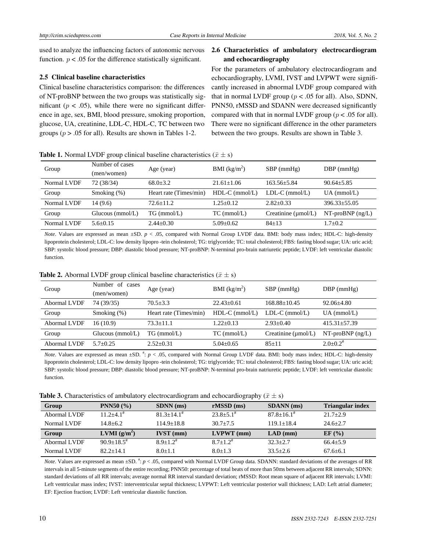used to analyze the influencing factors of autonomic nervous function.  $p < .05$  for the difference statistically significant.

#### 2.5 Clinical baseline characteristics

Clinical baseline characteristics comparison: the differences of NT-proBNP between the two groups was statistically significant ( $p < .05$ ), while there were no significant difference in age, sex, BMI, blood pressure, smoking proportion, glucose, UA, creatinine, LDL-C, HDL-C, TC between two groups ( $p > .05$  for all). Results are shown in Tables 1-2.

## 2.6 Characteristics of ambulatory electrocardiogram and echocardiography

For the parameters of ambulatory electrocardiogram and echocardiography, LVMI, IVST and LVPWT were significantly increased in abnormal LVDF group compared with that in normal LVDF group ( $p < .05$  for all). Also, SDNN, PNN50, rMSSD and SDANN were decreased significantly compared with that in normal LVDF group ( $p < .05$  for all). There were no significant difference in the other parameters between the two groups. Results are shown in Table 3.

**Table 1.** Normal LVDF group clinical baseline characteristics  $(\bar{x} \pm s)$ 

| Group       | Number of cases<br>(men/women) | Age (year)             | BMI $(kg/m^2)$   | $SBP$ (mmHg)             | $DBP$ (mmHg)       |
|-------------|--------------------------------|------------------------|------------------|--------------------------|--------------------|
| Normal LVDF | 72 (38/34)                     | $68.0 + 3.2$           | $21.61 \pm 1.06$ | $163.56 + 5.84$          | $90.64 \pm 5.85$   |
| Group       | Smoking $(\%)$                 | Heart rate (Times/min) | $HDL-C$ (mmol/L) | $LDL-C$ (mmol/L)         | $UA$ (mmol/L)      |
| Normal LVDF | 14(9.6)                        | $72.6 + 11.2$          | $1.25 + 0.12$    | $2.82+0.33$              | $396.33 + 55.05$   |
| Group       | Glucous $(mmol/L)$             | $TG$ (mmol/L)          | $TC$ (mmol/L)    | Creatinine $(\mu$ mol/L) | $NT-proBNP$ (ng/L) |
| Normal LVDF | $5.6 + 0.15$                   | $2.44 + 0.30$          | $5.09 + 0.62$    | $84 + 13$                | $1.7 \pm 0.2$      |

*Note*. Values are expressed as mean  $\pm$ SD. *p* < .05, compared with Normal Group LVDF data. BMI: body mass index; HDL-C: high-density lipoprotein cholesterol; LDL-C: low density lipopro -tein cholesterol; TG: triglyceride; TC: total cholesterol; FBS: fasting blood sugar; UA: uric acid; SBP: systolic blood pressure; DBP: diastolic blood pressure; NT-proBNP: N-terminal pro-brain natriuretic peptide; LVDF: left ventricular diastolic function.

| Group        | Number of cases<br>(men/women) | Age (year)             | BMI $(kg/m^2)$   | $SBP$ (mmHg)             | $DBP$ (mmHg)               |
|--------------|--------------------------------|------------------------|------------------|--------------------------|----------------------------|
| Abormal LVDF | 74 (39/35)                     | $70.5 + 3.3$           | $22.43+0.61$     | $168.88 + 10.45$         | $92.06 \pm 4.80$           |
| Group        | Smoking $(\%)$                 | Heart rate (Times/min) | $HDL-C$ (mmol/L) | $LDL-C$ (mmol/L)         | $UA$ (mmol/L)              |
| Abormal LVDF | 16(10.9)                       | $73.3 \pm 11.1$        | $1.22+0.13$      | $2.93+0.40$              | $415.31 + 57.39$           |
| Group        | Glucous $(mmol/L)$             | $TG$ (mmol/L)          | $TC$ (mmol/L)    | Creatinine $(\mu$ mol/L) | $NT-proBNP$ (ng/L)         |
| Abormal LVDF | $5.7 \pm 0.25$                 | $2.52 \pm 0.31$        | $5.04 \pm 0.65$  | $85 \pm 11$              | $2.0 \pm 0.2$ <sup>#</sup> |

**Table 2.** Abormal LVDF group clinical baseline characteristics  $(\bar{x} \pm s)$ 

*Note*. Values are expressed as mean  $\pm SD$ .  $\hbar$ :  $p < .05$ , compared with Normal Group LVDF data. BMI: body mass index; HDL-C: high-density lipoprotein cholesterol; LDL-C: low density lipopro -tein cholesterol; TG: triglyceride; TC: total cholesterol; FBS: fasting blood sugar; UA: uric acid; SBP: systolic blood pressure; DBP: diastolic blood pressure; NT-proBNP: N-terminal pro-brain natriuretic peptide; LVDF: left ventricular diastolic function.

**Table 3.** Characteristics of ambulatory electrocardiogram and echocardiography  $(\bar{x} \pm s)$ 

| Group        | <b>PNN50</b> $(\% )$      | $SDNN$ (ms)                | $rMSSD$ (ms)              | <b>SDANN</b> (ms)          | <b>Triangular index</b> |
|--------------|---------------------------|----------------------------|---------------------------|----------------------------|-------------------------|
| Abormal LVDF | $11.2 + 4.1$ <sup>#</sup> | $81.3 + 14.1$ <sup>#</sup> | $23.8 + 5.1$ <sup>#</sup> | $87.8 + 16.1$ <sup>#</sup> | $21.7+2.9$              |
| Normal LVDF  | $14.8 + 6.2$              | $114.9+18.8$               | $30.7 + 7.5$              | $119.1 + 18.4$             | $24.6 + 2.7$            |
| Group        | <b>LVMI</b> $(g/m^2)$     | $IVST$ (mm)                | $LVPWT$ (mm)              | $LAD$ (mm)                 | EF(%)                   |
| Abormal LVDF | $90.9+18.5^{\#}$          | $8.9 + 1.2$ <sup>#</sup>   | $8.7 + 1.2$ <sup>#</sup>  | $32.3 + 2.7$               | $66.4 + 5.9$            |
| Normal LVDF  | $82.2 + 14.1$             | $8.0 \pm 1.1$              | $8.0 + 1.3$               | $33.5 + 2.6$               | $67.6 \pm 6.1$          |

*Note*. Values are expressed as mean  $\pm$ SD.  $\ddot{\text{f}}$ ;  $p < .05$ , compared with Normal LVDF Group data. SDANN: standard deviations of the averages of RR intervals in all 5-minute segments of the entire recording; PNN50: percentage of total beats of more than 50ms between adjacent RR intervals; SDNN: standard deviations of all RR intervals; average normal RR interval standard deviation; rMSSD: Root mean square of adjacent RR intervals; LVMI: Left ventricular mass index; IVST: interventricular septal thickness; LVPWT: Left ventricular posterior wall thickness; LAD: Left atrial diameter; EF: Ejection fraction; LVDF: Left ventricular diastolic function.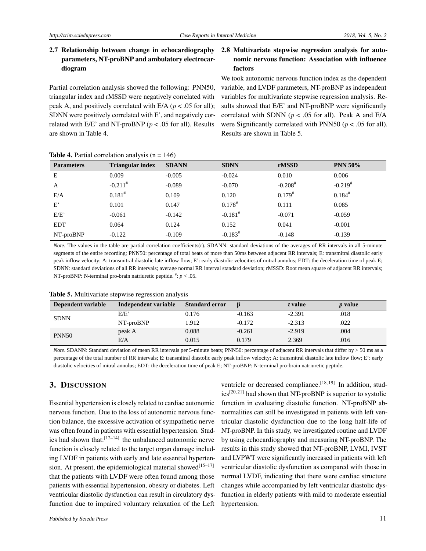## 2.7 Relationship between change in echocardiography parameters, NT-proBNP and ambulatory electrocardiogram

Partial correlation analysis showed the following: PNN50, triangular index and rMSSD were negatively correlated with peak A, and positively correlated with E/A (*p* < .05 for all); SDNN were positively correlated with E', and negatively correlated with E/E' and NT-proBNP (*p* < .05 for all). Results are shown in Table 4.

## 2.8 Multivariate stepwise regression analysis for autonomic nervous function: Association with influence factors

We took autonomic nervous function index as the dependent variable, and LVDF parameters, NT-proBNP as independent variables for multivariate stepwise regression analysis. Results showed that E/E' and NT-proBNP were significantly correlated with SDNN ( $p < .05$  for all). Peak A and E/A were Significantly correlated with PNN50 (*p* < .05 for all). Results are shown in Table 5.

| <b>Parameters</b> | <b>Triangular index</b> | <b>SDANN</b> | <b>SDNN</b>           | rMSSD                 | <b>PNN 50%</b>        |
|-------------------|-------------------------|--------------|-----------------------|-----------------------|-----------------------|
| E                 | 0.009                   | $-0.005$     | $-0.024$              | 0.010                 | 0.006                 |
| A                 | $-0.211$ <sup>#</sup>   | $-0.089$     | $-0.070$              | $-0.208$ <sup>#</sup> | $-0.219$ <sup>#</sup> |
| E/A               | $0.181^{#}$             | 0.109        | 0.120                 | $0.179^{#}$           | $0.184^{#}$           |
| E'                | 0.101                   | 0.147        | $0.178^{#}$           | 0.111                 | 0.085                 |
| E/E'              | $-0.061$                | $-0.142$     | $-0.181^{*}$          | $-0.071$              | $-0.059$              |
| <b>EDT</b>        | 0.064                   | 0.124        | 0.152                 | 0.041                 | $-0.001$              |
| $NT-proBNP$       | $-0.122$                | $-0.109$     | $-0.183$ <sup>#</sup> | $-0.148$              | $-0.139$              |

**Table 4.** Partial correlation analysis  $(n = 146)$ 

*Note*. The values in the table are partial correlation coefficients(r). SDANN: standard deviations of the averages of RR intervals in all 5-minute segments of the entire recording; PNN50: percentage of total beats of more than 50ms between adjacent RR intervals; E: transmitral diastolic early peak inflow velocity; A: transmitral diastolic late inflow flow; E': early diastolic velocities of mitral annulus; EDT: the deceleration time of peak E; SDNN: standard deviations of all RR intervals; average normal RR interval standard deviation; rMSSD: Root mean square of adjacent RR intervals; NT-proBNP: N-terminal pro-brain natriuretic peptide.  $\frac{m}{n}$ :  $p < .05$ .

| Dependent variable | Independent variable | <b>Standard error</b> |          | t value  | <i>p</i> value |
|--------------------|----------------------|-----------------------|----------|----------|----------------|
| <b>SDNN</b>        | E/E'                 | 0.176                 | $-0.163$ | $-2.391$ | .018           |
|                    | $NT-proBNP$          | 1.912                 | $-0.172$ | $-2.313$ | .022           |
| <b>PNN50</b>       | peak A               | 0.088                 | $-0.261$ | $-2.919$ | .004           |
|                    | E/A                  | 0.015                 | 0.179    | 2.369    | .016           |

Table 5. Multivariate stepwise regression analysis

*Note*. SDANN: Standard deviation of mean RR intervals per 5-minute beats; PNN50: percentage of adjacent RR intervals that differ by  $> 50$  ms as a percentage of the total number of RR intervals; E: transmitral diastolic early peak inflow velocity; A: transmitral diastolic late inflow flow; E': early diastolic velocities of mitral annulus; EDT: the deceleration time of peak E; NT-proBNP: N-terminal pro-brain natriuretic peptide.

## 3. DISCUSSION

Essential hypertension is closely related to cardiac autonomic nervous function. Due to the loss of autonomic nervous function balance, the excessive activation of sympathetic nerve was often found in patients with essential hypertension. Studies had shown that: $[12-14]$  $[12-14]$  the unbalanced autonomic nerve function is closely related to the target organ damage including LVDF in patients with early and late essential hyperten-sion. At present, the epidemiological material showed<sup>[\[15](#page-5-8)[–17\]](#page-5-9)</sup> that the patients with LVDF were often found among those patients with essential hypertension, obesity or diabetes. Left ventricular diastolic dysfunction can result in circulatory dysfunction due to impaired voluntary relaxation of the Left

ventricle or decreased compliance.<sup>[\[18,](#page-5-10)[19\]](#page-5-11)</sup> In addition, stud $i$ es<sup>[\[20,](#page-5-12) [21\]](#page-5-13)</sup> had shown that NT-proBNP is superior to systolic function in evaluating diastolic function. NT-proBNP abnormalities can still be investigated in patients with left ventricular diastolic dysfunction due to the long half-life of NT-proBNP. In this study, we investigated routine and LVDF by using echocardiography and measuring NT-proBNP. The results in this study showed that NT-proBNP, LVMI, IVST and LVPWT were significantly increased in patients with left ventricular diastolic dysfunction as compared with those in normal LVDF, indicating that there were cardiac structure changes while accompanied by left ventricular diastolic dysfunction in elderly patients with mild to moderate essential hypertension.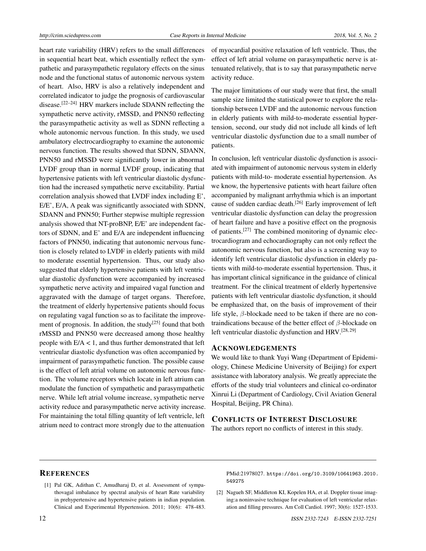heart rate variability (HRV) refers to the small differences in sequential heart beat, which essentially reflect the sympathetic and parasympathetic regulatory effects on the sinus node and the functional status of autonomic nervous system of heart. Also, HRV is also a relatively independent and correlated indicator to judge the prognosis of cardiovascular disease.<sup>[\[22–](#page-5-14)[24\]](#page-5-15)</sup> HRV markers include SDANN reflecting the sympathetic nerve activity, rMSSD, and PNN50 reflecting the parasympathetic activity as well as SDNN reflecting a whole autonomic nervous function. In this study, we used ambulatory electrocardiography to examine the autonomic nervous function. The results showed that SDNN, SDANN, PNN50 and rMSSD were significantly lower in abnormal LVDF group than in normal LVDF group, indicating that hypertensive patients with left ventricular diastolic dysfunction had the increased sympathetic nerve excitability. Partial correlation analysis showed that LVDF index including E', E/E', E/A, A peak was significantly associated with SDNN, SDANN and PNN50; Further stepwise multiple regression analysis showed that NT-proBNP, E/E' are independent factors of SDNN, and E' and E/A are independent influencing factors of PNN50, indicating that autonomic nervous function is closely related to LVDF in elderly patients with mild to moderate essential hypertension. Thus, our study also suggested that elderly hypertensive patients with left ventricular diastolic dysfunction were accompanied by increased sympathetic nerve activity and impaired vagal function and aggravated with the damage of target organs. Therefore, the treatment of elderly hypertensive patients should focus on regulating vagal function so as to facilitate the improve-ment of prognosis. In addition, the study<sup>[\[25\]](#page-5-16)</sup> found that both rMSSD and PNN50 were decreased among those healthy people with  $E/A < 1$ , and thus further demonstrated that left ventricular diastolic dysfunction was often accompanied by impairment of parasympathetic function. The possible cause is the effect of left atrial volume on autonomic nervous function. The volume receptors which locate in left atrium can modulate the function of sympathetic and parasympathetic nerve. While left atrial volume increase, sympathetic nerve activity reduce and parasympathetic nerve activity increase. For maintaining the total filling quantity of left ventricle, left atrium need to contract more strongly due to the attenuation

of myocardial positive relaxation of left ventricle. Thus, the effect of left atrial volume on parasympathetic nerve is attenuated relatively, that is to say that parasympathetic nerve activity reduce.

The major limitations of our study were that first, the small sample size limited the statistical power to explore the relationship between LVDF and the autonomic nervous function in elderly patients with mild-to-moderate essential hypertension, second, our study did not include all kinds of left ventricular diastolic dysfunction due to a small number of patients.

In conclusion, left ventricular diastolic dysfunction is associated with impairment of autonomic nervous system in elderly patients with mild-to- moderate essential hypertension. As we know, the hypertensive patients with heart failure often accompanied by malignant arrhythmia which is an important cause of sudden cardiac death.[\[26\]](#page-5-17) Early improvement of left ventricular diastolic dysfunction can delay the progression of heart failure and have a positive effect on the prognosis of patients.[\[27\]](#page-5-18) The combined monitoring of dynamic electrocardiogram and echocardiography can not only reflect the autonomic nervous function, but also is a screening way to identify left ventricular diastolic dysfunction in elderly patients with mild-to-moderate essential hypertension. Thus, it has important clinical significance in the guidance of clinical treatment. For the clinical treatment of elderly hypertensive patients with left ventricular diastolic dysfunction, it should be emphasized that, on the basis of improvement of their life style, *β*-blockade need to be taken if there are no contraindications because of the better effect of *β*-blockade on left ventricular diastolic dysfunction and HRV.[\[28,](#page-5-19) [29\]](#page-5-20)

#### ACKNOWLEDGEMENTS

We would like to thank Yuyi Wang (Department of Epidemiology, Chinese Medicine University of Beijing) for expert assistance with laboratory analysis. We greatly appreciate the efforts of the study trial volunteers and clinical co-ordinator Xinrui Li (Department of Cardiology, Civil Aviation General Hospital, Beijing, PR China).

## CONFLICTS OF INTEREST DISCLOSURE

The authors report no conflicts of interest in this study.

#### **REFERENCES**

<span id="page-4-0"></span>[1] Pal GK, Adithan C, Amudharaj D, et al. Assessment of sympathovagal imbalance by spectral analysis of heart Rate variability in prehypertensive and hypertensive patients in indian population. Clinical and Experimental Hypertension. 2011; 10(6): 478-483. PMid:21978027. [https://doi.org/10.3109/10641963.2010.](https://doi.org/10.3109/10641963.2010.549275) [549275](https://doi.org/10.3109/10641963.2010.549275)

<span id="page-4-1"></span>[2] Nagueh SF, Middleton KI, Kopelen HA, et al. Doppler tissue imaging:a noninvasive technique for evaluation of left ventricular relaxation and filling pressures. Am Coll Cardiol. 1997; 30(6): 1527-1533.